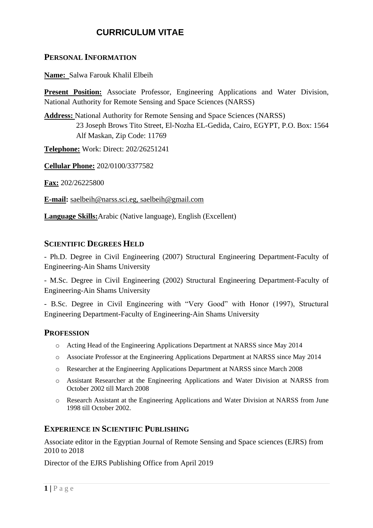# **CURRICULUM VITAE**

# **PERSONAL INFORMATION**

**Name:** Salwa Farouk Khalil Elbeih

**Present Position:** Associate Professor, Engineering Applications and Water Division, National Authority for Remote Sensing and Space Sciences (NARSS)

**Address:** National Authority for Remote Sensing and Space Sciences (NARSS) 23 Joseph Brows Tito Street, El-Nozha EL-Gedida, Cairo, EGYPT, P.O. Box: 1564 Alf Maskan, Zip Code: 11769

**Telephone:** Work: Direct: 202/26251241

**Cellular Phone:** 202/0100/3377582

**Fax:** 202/26225800

**E-mail:** [saelbeih@narss.sci.eg,](mailto:saelbeih@narss.sci.eg) [saelbeih@gmail.com](mailto:saelbeih@gmail.com)

**Language Skills:**Arabic (Native language), English (Excellent)

### **SCIENTIFIC DEGREES HELD**

- Ph.D. Degree in Civil Engineering (2007) Structural Engineering Department-Faculty of Engineering-Ain Shams University

- M.Sc. Degree in Civil Engineering (2002) Structural Engineering Department-Faculty of Engineering-Ain Shams University

- B.Sc. Degree in Civil Engineering with "Very Good" with Honor (1997), Structural Engineering Department-Faculty of Engineering-Ain Shams University

#### **PROFESSION**

- o Acting Head of the Engineering Applications Department at NARSS since May 2014
- o Associate Professor at the Engineering Applications Department at NARSS since May 2014
- o Researcher at the Engineering Applications Department at NARSS since March 2008
- o Assistant Researcher at the Engineering Applications and Water Division at NARSS from October 2002 till March 2008
- o Research Assistant at the Engineering Applications and Water Division at NARSS from June 1998 till October 2002.

# **EXPERIENCE IN SCIENTIFIC PUBLISHING**

Associate editor in the Egyptian Journal of Remote Sensing and Space sciences (EJRS) from 2010 to 2018

Director of the EJRS Publishing Office from April 2019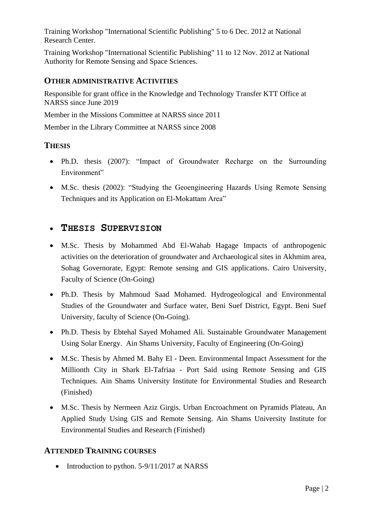Training Workshop "International Scientific Publishing" 5 to 6 Dec. 2012 at National Research Center.

Training Workshop "International Scientific Publishing" 11 to 12 Nov. 2012 at National Authority for Remote Sensing and Space Sciences.

### **OTHER ADMINISTRATIVE ACTIVITIES**

Responsible for grant office in the Knowledge and Technology Transfer KTT Office at NARSS since June 2019

Member in the Missions Committee at NARSS since 2011

Member in the Library Committee at NARSS since 2008

### **THESIS**

- Ph.D. thesis (2007): "Impact of Groundwater Recharge on the Surrounding Environment"
- M.Sc. thesis (2002): "Studying the Geoengineering Hazards Using Remote Sensing Techniques and its Application on El-Mokattam Area"

# **THESIS SUPERVISION**

- M.Sc. Thesis by Mohammed Abd El-Wahab Hagage Impacts of anthropogenic activities on the deterioration of groundwater and Archaeological sites in Akhmim area, Sohag Governorate, Egypt: Remote sensing and GIS applications. Cairo University, Faculty of Science (On-Going)
- Ph.D. Thesis by Mahmoud Saad Mohamed. Hydrogeological and Environmental Studies of the Groundwater and Surface water, Beni Suef District, Egypt. Beni Suef University, faculty of Science (On-Going).
- Ph.D. Thesis by Ebtehal Sayed Mohamed Ali. Sustainable Groundwater Management Using Solar Energy. Ain Shams University, Faculty of Engineering (On-Going)
- M.Sc. Thesis by Ahmed M. Bahy El Deen. Environmental Impact Assessment for the Millionth City in Shark El-Tafriaa - Port Said using Remote Sensing and GIS Techniques. Ain Shams University Institute for Environmental Studies and Research (Finished)
- M.Sc. Thesis by Nermeen Aziz Girgis. Urban Encroachment on Pyramids Plateau, An Applied Study Using GIS and Remote Sensing. Ain Shams University Institute for Environmental Studies and Research (Finished)

# **ATTENDED TRAINING COURSES**

• Introduction to python. 5-9/11/2017 at NARSS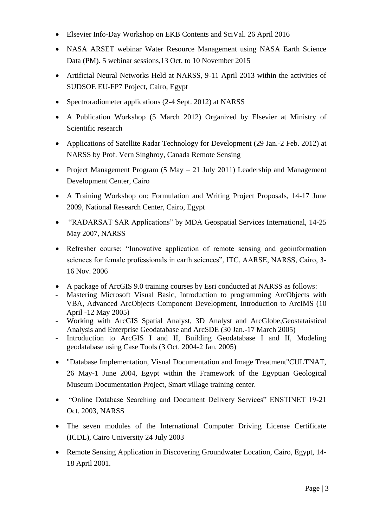- Elsevier Info-Day Workshop on EKB Contents and SciVal. 26 April 2016
- NASA ARSET webinar Water Resource Management using NASA Earth Science Data (PM). 5 webinar sessions,13 Oct. to 10 November 2015
- Artificial Neural Networks Held at NARSS, 9-11 April 2013 within the activities of SUDSOE EU-FP7 Project, Cairo, Egypt
- Spectroradiometer applications (2-4 Sept. 2012) at NARSS
- A Publication Workshop (5 March 2012) Organized by Elsevier at Ministry of Scientific research
- Applications of Satellite Radar Technology for Development (29 Jan.-2 Feb. 2012) at NARSS by Prof. Vern Singhroy, Canada Remote Sensing
- Project Management Program (5 May 21 July 2011) Leadership and Management Development Center, Cairo
- A Training Workshop on: Formulation and Writing Project Proposals, 14-17 June 2009, National Research Center, Cairo, Egypt
- "RADARSAT SAR Applications" by MDA Geospatial Services International, 14-25 May 2007, NARSS
- Refresher course: "Innovative application of remote sensing and geoinformation sciences for female professionals in earth sciences", ITC, AARSE, NARSS, Cairo, 3- 16 Nov. 2006
- A package of ArcGIS 9.0 training courses by Esri conducted at NARSS as follows:
- Mastering Microsoft Visual Basic, Introduction to programming ArcObjects with VBA, Advanced ArcObjects Component Development, Introduction to ArcIMS (10 April -12 May 2005)
- Working with ArcGIS Spatial Analyst, 3D Analyst and ArcGlobe,Geostataistical Analysis and Enterprise Geodatabase and ArcSDE (30 Jan.-17 March 2005)
- Introduction to ArcGIS I and II, Building Geodatabase I and II, Modeling geodatabase using Case Tools (3 Oct. 2004-2 Jan. 2005)
- "Database Implementation, Visual Documentation and Image Treatment"CULTNAT, 26 May-1 June 2004, Egypt within the Framework of the Egyptian Geological Museum Documentation Project, Smart village training center.
- "Online Database Searching and Document Delivery Services" ENSTINET 19-21 Oct. 2003, NARSS
- The seven modules of the International Computer Driving License Certificate (ICDL), Cairo University 24 July 2003
- Remote Sensing Application in Discovering Groundwater Location, Cairo, Egypt, 14- 18 April 2001.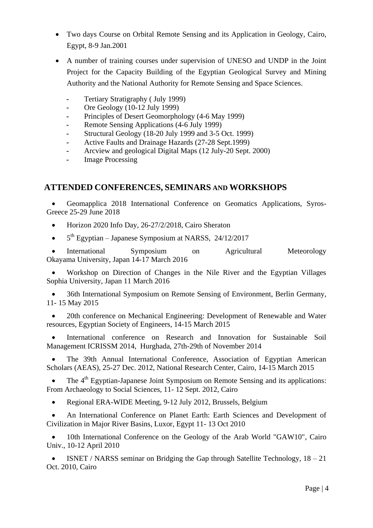- Two days Course on Orbital Remote Sensing and its Application in Geology, Cairo, Egypt, 8-9 Jan.2001
- A number of training courses under supervision of UNESO and UNDP in the Joint Project for the Capacity Building of the Egyptian Geological Survey and Mining Authority and the National Authority for Remote Sensing and Space Sciences.
	- **-** Tertiary Stratigraphy ( July 1999)
	- **-** Ore Geology (10-12 July 1999)
	- **-** Principles of Desert Geomorphology (4-6 May 1999)
	- **-** Remote Sensing Applications (4-6 July 1999)
	- **-** Structural Geology (18-20 July 1999 and 3-5 Oct. 1999)
	- **-** Active Faults and Drainage Hazards (27-28 Sept.1999)
	- **-** Arcview and geological Digital Maps (12 July-20 Sept. 2000)
	- **-** Image Processing

# **ATTENDED CONFERENCES, SEMINARS AND WORKSHOPS**

 Geomapplica 2018 International Conference on Geomatics Applications, Syros-Greece 25-29 June 2018

- Horizon 2020 Info Day, 26-27/2/2018, Cairo Sheraton
- $\bullet$  5<sup>th</sup> Egyptian Japanese Symposium at NARSS, 24/12/2017
- International Symposium on Agricultural Meteorology Okayama University, Japan 14-17 March 2016

 Workshop on Direction of Changes in the Nile River and the Egyptian Villages Sophia University, Japan 11 March 2016

 36th International Symposium on Remote Sensing of Environment, Berlin Germany, 11- 15 May 2015

 20th conference on Mechanical Engineering: Development of Renewable and Water resources, Egyptian Society of Engineers, 14-15 March 2015

 International conference on Research and Innovation for Sustainable Soil Management ICRISSM 2014, Hurghada, 27th-29th of November 2014

 The 39th Annual International Conference, Association of Egyptian American Scholars (AEAS), 25-27 Dec. 2012, National Research Center, Cairo, 14-15 March 2015

The 4<sup>th</sup> Egyptian-Japanese Joint Symposium on Remote Sensing and its applications: From Archaeology to Social Sciences, 11- 12 Sept. 2012, Cairo

• Regional ERA-WIDE Meeting, 9-12 July 2012, Brussels, Belgium

 An International Conference on Planet Earth: Earth Sciences and Development of Civilization in Major River Basins, Luxor, Egypt 11- 13 Oct 2010

• 10th International Conference on the Geology of the Arab World "GAW10", Cairo Univ., 10-12 April 2010

 ISNET / NARSS seminar on Bridging the Gap through Satellite Technology, 18 – 21 Oct. 2010, Cairo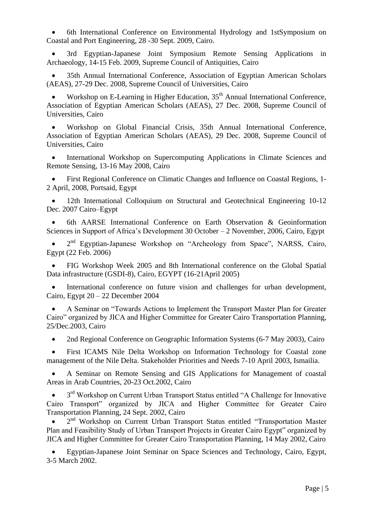6th International Conference on Environmental Hydrology and 1stSymposium on Coastal and Port Engineering, 28 -30 Sept. 2009, Cairo.

 3rd Egyptian-Japanese Joint Symposium Remote Sensing Applications in Archaeology, 14-15 Feb. 2009, Supreme Council of Antiquities, Cairo

 35th Annual International Conference, Association of Egyptian American Scholars (AEAS), 27-29 Dec. 2008, Supreme Council of Universities, Cairo

Workshop on E-Learning in Higher Education, 35<sup>th</sup> Annual International Conference, Association of Egyptian American Scholars (AEAS), 27 Dec. 2008, Supreme Council of Universities, Cairo

 Workshop on Global Financial Crisis, 35th Annual International Conference, Association of Egyptian American Scholars (AEAS), 29 Dec. 2008, Supreme Council of Universities, Cairo

 International Workshop on Supercomputing Applications in Climate Sciences and Remote Sensing, 13-16 May 2008, Cairo

 First Regional Conference on Climatic Changes and Influence on Coastal Regions, 1- 2 April, 2008, Portsaid, Egypt

 12th International Colloquium on Structural and Geotechnical Engineering 10-12 Dec. 2007 Cairo–Egypt

 6th AARSE International Conference on Earth Observation & Geoinformation Sciences in Support of Africa's Development 30 October – 2 November, 2006, Cairo, Egypt

 $\bullet$   $2<sup>nd</sup>$  Egyptian-Japanese Workshop on "Archeology from Space", NARSS, Cairo, Egypt (22 Feb. 2006)

 FIG Workshop Week 2005 and 8th International conference on the Global Spatial Data infrastructure (GSDI-8), Cairo, EGYPT (16-21April 2005)

 International conference on future vision and challenges for urban development, Cairo, Egypt  $20 - 22$  December 2004

 A Seminar on "Towards Actions to Implement the Transport Master Plan for Greater Cairo" organized by JICA and Higher Committee for Greater Cairo Transportation Planning, 25/Dec.2003, Cairo

• 2nd Regional Conference on Geographic Information Systems (6-7 May 2003), Cairo

 First ICAMS Nile Delta Workshop on Information Technology for Coastal zone management of the Nile Delta. Stakeholder Priorities and Needs 7-10 April 2003, Ismailia.

 A Seminar on Remote Sensing and GIS Applications for Management of coastal Areas in Arab Countries, 20-23 Oct.2002, Cairo

 $\bullet$  3<sup>rd</sup> Workshop on Current Urban Transport Status entitled "A Challenge for Innovative Cairo Transport" organized by JICA and Higher Committee for Greater Cairo Transportation Planning, 24 Sept. 2002, Cairo

• 2<sup>nd</sup> Workshop on Current Urban Transport Status entitled "Transportation Master Plan and Feasibility Study of Urban Transport Projects in Greater Cairo Egypt" organized by JICA and Higher Committee for Greater Cairo Transportation Planning, 14 May 2002, Cairo

 Egyptian-Japanese Joint Seminar on Space Sciences and Technology, Cairo, Egypt, 3-5 March 2002.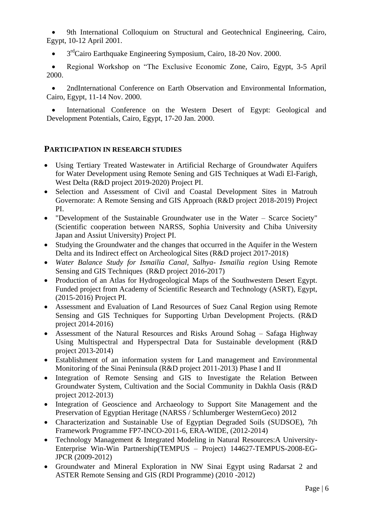9th International Colloquium on Structural and Geotechnical Engineering, Cairo, Egypt, 10-12 April 2001.

• 3<sup>rd</sup>Cairo Earthquake Engineering Symposium, Cairo, 18-20 Nov. 2000.

 Regional Workshop on "The Exclusive Economic Zone, Cairo, Egypt, 3-5 April 2000.

 2ndInternational Conference on Earth Observation and Environmental Information, Cairo, Egypt, 11-14 Nov. 2000.

 International Conference on the Western Desert of Egypt: Geological and Development Potentials, Cairo, Egypt, 17-20 Jan. 2000.

#### **PARTICIPATION IN RESEARCH STUDIES**

- Using Tertiary Treated Wastewater in Artificial Recharge of Groundwater Aquifers for Water Development using Remote Sening and GIS Techniques at Wadi El-Farigh, West Delta (R&D project 2019-2020) Project PI.
- Selection and Assessment of Civil and Coastal Development Sites in Matrouh Governorate: A Remote Sensing and GIS Approach (R&D project 2018-2019) Project PI.
- "Development of the Sustainable Groundwater use in the Water Scarce Society" (Scientific cooperation between NARSS, Sophia University and Chiba University Japan and Assiut University) Project PI.
- Studying the Groundwater and the changes that occurred in the Aquifer in the Western Delta and its Indirect effect on Archeological Sites (R&D project 2017-2018)
- *Water Balance Study for Ismailia Canal, Salhya- Ismailia region* Using Remote Sensing and GIS Techniques (R&D project 2016-2017)
- Production of an Atlas for Hydrogeological Maps of the Southwestern Desert Egypt. Funded project from Academy of Scientific Research and Technology (ASRT), Egypt, (2015-2016) Project PI.
- Assessment and Evaluation of Land Resources of Suez Canal Region using Remote Sensing and GIS Techniques for Supporting Urban Development Projects. (R&D project 2014-2016)
- Assessment of the Natural Resources and Risks Around Sohag Safaga Highway Using Multispectral and Hyperspectral Data for Sustainable development (R&D project 2013-2014)
- Establishment of an information system for Land management and Environmental Monitoring of the Sinai Peninsula (R&D project 2011-2013) Phase I and II
- Integration of Remote Sensing and GIS to Investigate the Relation Between Groundwater System, Cultivation and the Social Community in Dakhla Oasis (R&D project 2012-2013)
- Integration of Geoscience and Archaeology to Support Site Management and the Preservation of Egyptian Heritage (NARSS / Schlumberger WesternGeco) 2012
- Characterization and Sustainable Use of Egyptian Degraded Soils (SUDSOE), 7th Framework Programme FP7-INCO-2011-6, ERA-WIDE, (2012-2014)
- Technology Management & Integrated Modeling in Natural Resources:A University-Enterprise Win-Win Partnership(TEMPUS – Project) 144627-TEMPUS-2008-EG-JPCR (2009-2012)
- Groundwater and Mineral Exploration in NW Sinai Egypt using Radarsat 2 and ASTER Remote Sensing and GIS (RDI Programme) (2010 -2012)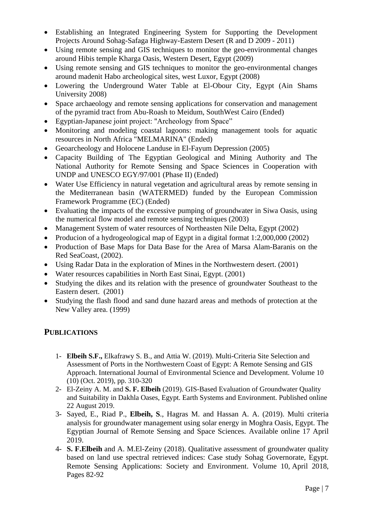- Establishing an Integrated Engineering System for Supporting the Development Projects Around Sohag-Safaga Highway-Eastern Desert (R and D 2009 - 2011)
- Using remote sensing and GIS techniques to monitor the geo-environmental changes around Hibis temple Kharga Oasis, Western Desert, Egypt (2009)
- Using remote sensing and GIS techniques to monitor the geo-environmental changes around madenit Habo archeological sites, west Luxor, Egypt (2008)
- Lowering the Underground Water Table at El-Obour City, Egypt (Ain Shams University 2008)
- Space archaeology and remote sensing applications for conservation and management of the pyramid tract from Abu-Roash to Meidum, SouthWest Cairo (Ended)
- Egyptian-Japanese joint project: "Archeology from Space"
- Monitoring and modeling coastal lagoons: making management tools for aquatic resources in North Africa "MELMARINA" (Ended)
- Geoarcheology and Holocene Landuse in El-Fayum Depression (2005)
- Capacity Building of The Egyptian Geological and Mining Authority and The National Authority for Remote Sensing and Space Sciences in Cooperation with UNDP and UNESCO EGY/97/001 (Phase II) (Ended)
- Water Use Efficiency in natural vegetation and agricultural areas by remote sensing in the Mediterranean basin (WATERMED) funded by the European Commission Framework Programme (EC) (Ended)
- Evaluating the impacts of the excessive pumping of groundwater in Siwa Oasis, using the numerical flow model and remote sensing techniques (2003)
- Management System of water resources of Northeasten Nile Delta, Egypt (2002)
- Producion of a hydrogeological map of Egypt in a digital format 1:2,000,000 (2002)
- Production of Base Maps for Data Base for the Area of Marsa Alam-Baranis on the Red SeaCoast, (2002).
- Using Radar Data in the exploration of Mines in the Northwestern desert. (2001)
- Water resources capabilities in North East Sinai, Egypt. (2001)
- Studying the dikes and its relation with the presence of groundwater Southeast to the Eastern desert. (2001)
- Studying the flash flood and sand dune hazard areas and methods of protection at the New Valley area. (1999)

# **PUBLICATIONS**

- 1- **Elbeih S.F.,** Elkafrawy S. B., and Attia W. (2019). Multi-Criteria Site Selection and Assessment of Ports in the Northwestern Coast of Egypt: A Remote Sensing and GIS Approach. International Journal of Environmental Science and Development. Volume 10 (10) (Oct. 2019), pp. 310-320
- 2- El-Zeiny A. M. and **S. F. Elbeih** (2019). GIS-Based Evaluation of Groundwater Quality and Suitability in Dakhla Oases, Egypt. Earth Systems and Environment. Published online 22 August 2019.
- 3- Sayed, E., Riad P., **Elbeih, S**., Hagras M. and Hassan A. A. (2019). Multi criteria analysis for groundwater management using solar energy in Moghra Oasis, Egypt. The Egyptian Journal of Remote Sensing and Space Sciences. Available online 17 April 2019.
- 4- **S. F.Elbeih** and A. [M.El-Zeiny](https://www.sciencedirect.com/science/article/pii/S2352938518300041#!) (2018). Qualitative assessment of groundwater quality based on land use spectral retrieved indices: Case study Sohag Governorate, Egypt. [Remote Sensing Applications: Society and Environment.](https://www.sciencedirect.com/science/journal/23529385) Volume 10, April 2018, Pages 82-92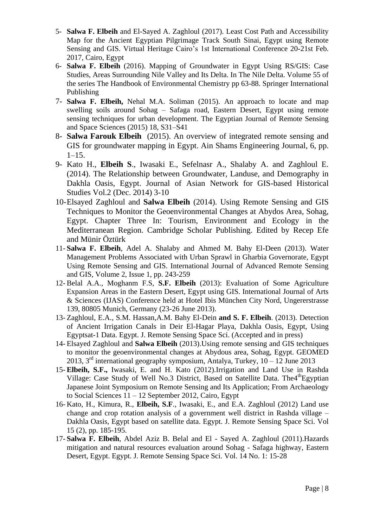- 5- **Salwa F. Elbeih** and El-Sayed A. Zaghloul (2017). Least Cost Path and Accessibility Map for the Ancient Egyptian Pilgrimage Track South Sinai, Egypt using Remote Sensing and GIS. Virtual Heritage Cairo's 1st International Conference 20-21st Feb. 2017, Cairo, Egypt
- 6- **Salwa F. Elbeih** (2016). Mapping of Groundwater in Egypt Using RS/GIS: Case Studies, Areas Surrounding Nile Valley and Its Delta. In The Nile Delta. Volume 55 of the series [The Handbook of Environmental Chemistry](https://link.springer.com/bookseries/698) pp 63-88. Springer International Publishing
- 7- **Salwa F. Elbeih,** Nehal M.A. Soliman (2015). An approach to locate and map swelling soils around Sohag – Safaga road, Eastern Desert, Egypt using remote sensing techniques for urban development. The Egyptian Journal of Remote Sensing and Space Sciences (2015) 18, S31–S41
- 8- **[Salwa Farouk Elbeih](http://www.sciencedirect.com/science/article/pii/S2090447914001129?np=y)** (2015). An overview of integrated remote sensing and GIS for groundwater mapping in Egypt. Ain Shams Engineering Journal, 6, pp.  $1-15.$
- 9- Kato H., **Elbeih S**., Iwasaki E., Sefelnasr A., Shalaby A. and Zaghloul E. (2014). The Relationship between Groundwater, Landuse, and Demography in Dakhla Oasis, Egypt. Journal of Asian Network for GIS-based Historical Studies Vol.2 (Dec. 2014) 3-10
- 10-Elsayed Zaghloul and **Salwa Elbeih** (2014). Using Remote Sensing and GIS Techniques to Monitor the Geoenvironmental Changes at Abydos Area, Sohag, Egypt. Chapter Three In: Tourism, Environment and Ecology in the Mediterranean Region. Cambridge Scholar Publishing. Edited by Recep Efe and Münir Öztürk
- 11- **Salwa F. Elbeih**, Adel A. Shalaby and Ahmed M. Bahy El-Deen (2013). Water Management Problems Associated with Urban Sprawl in Gharbia Governorate, Egypt Using Remote Sensing and GIS. International Journal of Advanced Remote Sensing and GIS, Volume 2, Issue 1, pp. 243-259
- 12- Belal A.A., Moghanm F.S, **S.F. Elbeih** (2013): Evaluation of Some Agriculture Expansion Areas in the Eastern Desert, Egypt using GIS. International Journal of Arts & Sciences (IJAS) Conference held at Hotel Ibis München City Nord, Ungererstrasse 139, 80805 Munich, Germany (23-26 June 2013).
- 13- Zaghloul, E.A., S.M. Hassan,A.M. Bahy El-Dein **and S. F. Elbeih**. (2013). Detection of Ancient Irrigation Canals in Deir El-Hagar Playa, Dakhla Oasis, Egypt, Using Egyptsat-1 Data. Egypt. J. Remote Sensing Space Sci. (Accepted and in press)
- 14- Elsayed Zaghloul and **Salwa Elbeih** (2013).Using remote sensing and GIS techniques to monitor the geoenvironmental changes at Abydous area, Sohag, Egypt. GEOMED 2013,  $3<sup>rd</sup>$  international geography symposium, Antalya, Turkey,  $10 - 12$  June 2013
- 15- **Elbeih, S.F.,** Iwasaki, E. and H. Kato (2012).Irrigation and Land Use in Rashda Village: Case Study of Well No.3 District, Based on Satellite Data. The 4<sup>th</sup>Egyptian Japanese Joint Symposium on Remote Sensing and Its Application; From Archaeology to Social Sciences 11 – 12 September 2012, Cairo, Egypt
- 16- Kato, H., Kimura, R., **Elbeih, S.F**., Iwasaki, E., and E.A. Zaghloul (2012) [Land use](http://www.sciencedirect.com/science/article/pii/S1110982312000257)  [change and crop rotation analysis of a government well district in Rashda village –](http://www.sciencedirect.com/science/article/pii/S1110982312000257) [Dakhla Oasis, Egypt based on satellite data.](http://www.sciencedirect.com/science/article/pii/S1110982312000257) Egypt. J. Remote Sensing Space Sci. Vol 15 (2), pp. 185-195.
- 17- **Salwa F. Elbeih**, Abdel Aziz B. Belal and El Sayed A. Zaghloul (2011).Hazards mitigation and natural resources evaluation around Sohag - Safaga highway, Eastern Desert, Egypt. Egypt. J. Remote Sensing Space Sci. Vol. 14 No. 1: 15-28